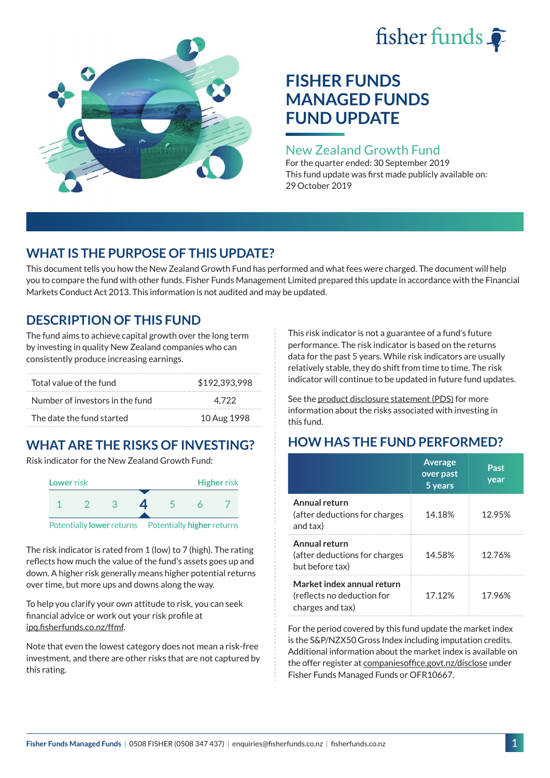# fisher funds  $\hat{\bullet}$



## **FISHER FUNDS MANAGED FUNDS FUND UPDATE**

## New Zealand Growth Fund

For the quarter ended: 30 September 2019 This fund update was first made publicly available on: 29 October 2019

## **WHAT IS THE PURPOSE OF THIS UPDATE?**

This document tells you how the New Zealand Growth Fund has performed and what fees were charged. The document will help you to compare the fund with other funds. Fisher Funds Management Limited prepared this update in accordance with the Financial Markets Conduct Act 2013. This information is not audited and may be updated.

## **DESCRIPTION OF THIS FUND**

The fund aims to achieve capital growth over the long term by investing in quality New Zealand companies who can consistently produce increasing earnings.

| Total value of the fund         | \$192,393,998 |
|---------------------------------|---------------|
| Number of investors in the fund | 4.722         |
| The date the fund started       | 10 Aug 1998   |

## **WHAT ARE THE RISKS OF INVESTING?**

Risk indicator for the New Zealand Growth Fund:



The risk indicator is rated from 1 (low) to 7 (high). The rating reflects how much the value of the fund's assets goes up and down. A higher risk generally means higher potential returns over time, but more ups and downs along the way.

To help you clarify your own attitude to risk, you can seek financial advice or work out your risk profile at [ipq.fisherfunds.co.nz/ffmf](https://ipq.fisherfunds.co.nz/ffmf).

Note that even the lowest category does not mean a risk-free investment, and there are other risks that are not captured by this rating.

This risk indicator is not a guarantee of a fund's future performance. The risk indicator is based on the returns data for the past 5 years. While risk indicators are usually relatively stable, they do shift from time to time. The risk indicator will continue to be updated in future fund updates.

See the [product disclosure statement \(PDS\)](https://fisherfunds.co.nz/assets/PDS/Fisher-Funds-Managed-Funds-PDS.pdf) for more information about the risks associated with investing in this fund.

## **HOW HAS THE FUND PERFORMED?**

|                                                                              | <b>Average</b><br>over past<br>5 years | Past<br>year |
|------------------------------------------------------------------------------|----------------------------------------|--------------|
| Annual return<br>(after deductions for charges<br>and tax)                   | 14.18%                                 | 12.95%       |
| Annual return<br>(after deductions for charges<br>but before tax)            | 14.58%                                 | 12.76%       |
| Market index annual return<br>(reflects no deduction for<br>charges and tax) | 17.12%                                 | 17.96%       |

For the period covered by this fund update the market index is the S&P/NZX50 Gross Index including imputation credits. Additional information about the market index is available on the offer register at [companiesoffice.govt.nz/disclose](http://companiesoffice.govt.nz/disclose) under Fisher Funds Managed Funds or OFR10667.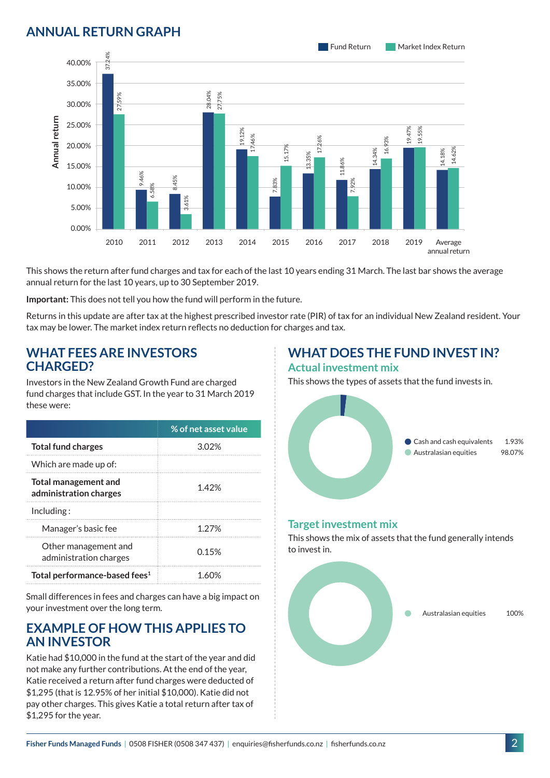## **ANNUAL RETURN GRAPH**



This shows the return after fund charges and tax for each of the last 10 years ending 31 March. The last bar shows the average annual return for the last 10 years, up to 30 September 2019.

**Important:** This does not tell you how the fund will perform in the future.

Returns in this update are after tax at the highest prescribed investor rate (PIR) of tax for an individual New Zealand resident. Your tax may be lower. The market index return reflects no deduction for charges and tax.

#### **WHAT FEES ARE INVESTORS CHARGED?**

Investors in the New Zealand Growth Fund are charged fund charges that include GST. In the year to 31 March 2019 these were:

|                                                       | % of net asset value |
|-------------------------------------------------------|----------------------|
| <b>Total fund charges</b>                             | 302%                 |
| Which are made up of:                                 |                      |
| <b>Total management and</b><br>administration charges | 1.42%                |
| Inding:                                               |                      |
| Manager's basic fee                                   | 1 27%                |
| Other management and<br>administration charges        | 0.15%                |
| Total performance-based fees <sup>1</sup>             |                      |

Small differences in fees and charges can have a big impact on your investment over the long term.

#### **EXAMPLE OF HOW THIS APPLIES TO AN INVESTOR**

Katie had \$10,000 in the fund at the start of the year and did not make any further contributions. At the end of the year, Katie received a return after fund charges were deducted of \$1,295 (that is 12.95% of her initial \$10,000). Katie did not pay other charges. This gives Katie a total return after tax of \$1,295 for the year.

#### **WHAT DOES THE FUND INVEST IN? Actual investment mix**

This shows the types of assets that the fund invests in.



#### **Target investment mix**

This shows the mix of assets that the fund generally intends to invest in.